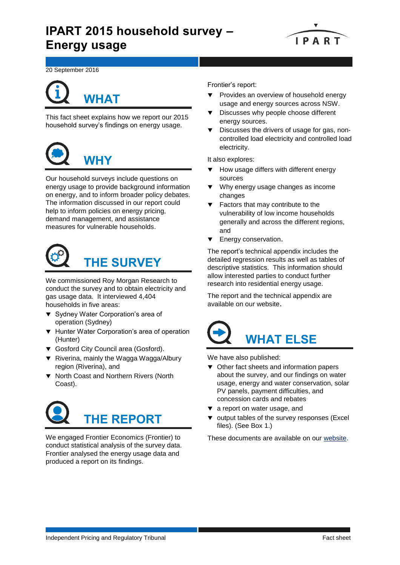# **IPART 2015 household survey – Energy usage**



20 September 2016

# **WHAT**

This fact sheet explains how we report our 2015 household survey's findings on energy usage.



Our household surveys include questions on energy usage to provide background information on energy, and to inform broader policy debates. The information discussed in our report could help to inform policies on energy pricing, demand management, and assistance measures for vulnerable households.



We commissioned Roy Morgan Research to conduct the survey and to obtain electricity and gas usage data. It interviewed 4,404 households in five areas:

- ▼ Sydney Water Corporation's area of operation (Sydney)
- ▼ Hunter Water Corporation's area of operation (Hunter)
- Gosford City Council area (Gosford).
- ▼ Riverina, mainly the Wagga Wagga/Albury region (Riverina), and
- $\blacktriangledown$  North Coast and Northern Rivers (North Coast).



We engaged Frontier Economics (Frontier) to conduct statistical analysis of the survey data. Frontier analysed the energy usage data and produced a report on its findings.

Frontier's report:

- Provides an overview of household energy usage and energy sources across NSW.
- Discusses why people choose different energy sources.
- Discusses the drivers of usage for gas, noncontrolled load electricity and controlled load electricity.

It also explores:

- How usage differs with different energy sources
- Why energy usage changes as income changes
- Factors that may contribute to the vulnerability of low income households generally and across the different regions, and
- Energy conservation.

The report's technical appendix includes the detailed regression results as well as tables of descriptive statistics. This information should allow interested parties to conduct further research into residential energy usage.

The report and the technical appendix are available on our website.



We have also published:

- $\blacktriangledown$  Other fact sheets and information papers about the survey, and our findings on water usage, energy and water conservation, solar PV panels, payment difficulties, and concession cards and rebates
- $\blacktriangledown$  a report on water usage, and
- v output tables of the survey responses (Excel files). (See Box 1.)

These documents are available on our [website.](https://www.ipart.nsw.gov.au/Home/Industries/Special-Reviews/Reviews/Household-Survey/IPART-2015-Household-survey-of-electricity-gas-and-water-usage?qDh=2)